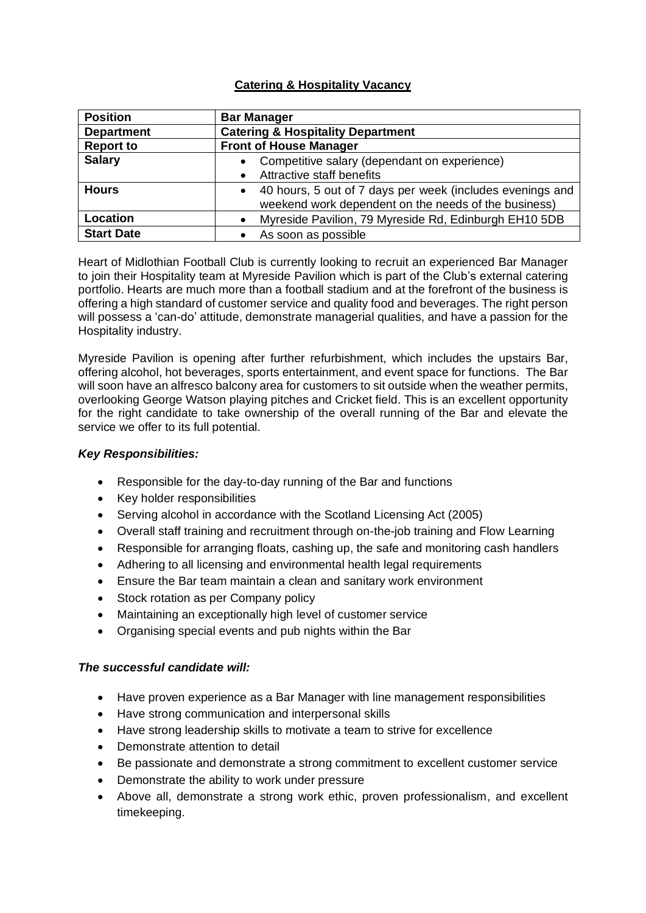## **Catering & Hospitality Vacancy**

| <b>Position</b>   | <b>Bar Manager</b>                                                                                                             |
|-------------------|--------------------------------------------------------------------------------------------------------------------------------|
| <b>Department</b> | <b>Catering &amp; Hospitality Department</b>                                                                                   |
| <b>Report to</b>  | <b>Front of House Manager</b>                                                                                                  |
| <b>Salary</b>     | Competitive salary (dependant on experience)<br>$\bullet$                                                                      |
|                   | Attractive staff benefits<br>$\bullet$                                                                                         |
| <b>Hours</b>      | 40 hours, 5 out of 7 days per week (includes evenings and<br>$\bullet$<br>weekend work dependent on the needs of the business) |
| Location          | Myreside Pavilion, 79 Myreside Rd, Edinburgh EH10 5DB<br>$\bullet$                                                             |
| <b>Start Date</b> | As soon as possible                                                                                                            |

Heart of Midlothian Football Club is currently looking to recruit an experienced Bar Manager to join their Hospitality team at Myreside Pavilion which is part of the Club's external catering portfolio. Hearts are much more than a football stadium and at the forefront of the business is offering a high standard of customer service and quality food and beverages. The right person will possess a 'can-do' attitude, demonstrate managerial qualities, and have a passion for the Hospitality industry.

Myreside Pavilion is opening after further refurbishment, which includes the upstairs Bar, offering alcohol, hot beverages, sports entertainment, and event space for functions. The Bar will soon have an alfresco balcony area for customers to sit outside when the weather permits, overlooking George Watson playing pitches and Cricket field. This is an excellent opportunity for the right candidate to take ownership of the overall running of the Bar and elevate the service we offer to its full potential.

## *Key Responsibilities:*

- Responsible for the day-to-day running of the Bar and functions
- Key holder responsibilities
- Serving alcohol in accordance with the Scotland Licensing Act (2005)
- Overall staff training and recruitment through on-the-job training and Flow Learning
- Responsible for arranging floats, cashing up, the safe and monitoring cash handlers
- Adhering to all licensing and environmental health legal requirements
- Ensure the Bar team maintain a clean and sanitary work environment
- Stock rotation as per Company policy
- Maintaining an exceptionally high level of customer service
- Organising special events and pub nights within the Bar

## *The successful candidate will:*

- Have proven experience as a Bar Manager with line management responsibilities
- Have strong communication and interpersonal skills
- Have strong leadership skills to motivate a team to strive for excellence
- Demonstrate attention to detail
- Be passionate and demonstrate a strong commitment to excellent customer service
- Demonstrate the ability to work under pressure
- Above all, demonstrate a strong work ethic, proven professionalism, and excellent timekeeping.